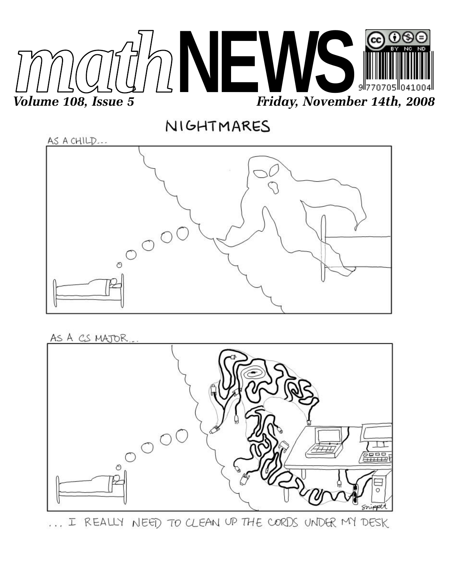







... I REALLY NEED TO CLEAN UP THE CORDS UNDER MY DESK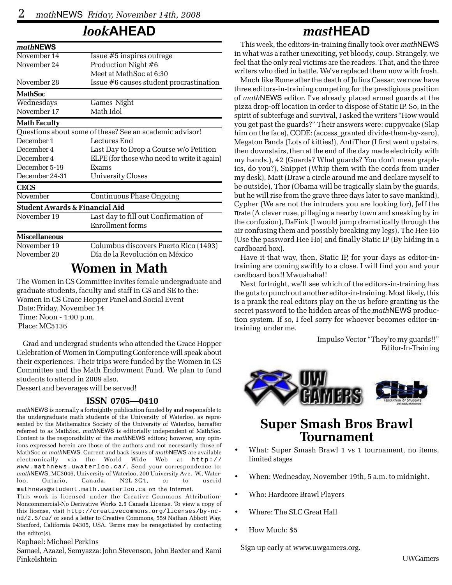## *look***AHEAD**

| mathNEWS                                  |                                                         |
|-------------------------------------------|---------------------------------------------------------|
| November 14                               | Issue #5 inspires outrage                               |
| November 24                               | Production Night #6                                     |
|                                           | Meet at MathSoc at 6:30                                 |
| November 28                               | Issue #6 causes student procrastination                 |
| <b>MathSoc</b>                            |                                                         |
| Wednesdays                                | Games Night                                             |
| November 17                               | Math Idol                                               |
| <b>Math Faculty</b>                       |                                                         |
|                                           | Questions about some of these? See an academic advisor! |
| December 1                                | Lectures End                                            |
| December 4                                | Last Day to Drop a Course w/o Petition                  |
| December 4                                | ELPE (for those who need to write it again)             |
| December 5-19                             | Exams                                                   |
| December 24-31                            | University Closes                                       |
| <b>CECS</b>                               |                                                         |
| November                                  | <b>Continuous Phase Ongoing</b>                         |
| <b>Student Awards &amp; Financial Aid</b> |                                                         |
| November 19                               | Last day to fill out Confirmation of                    |
|                                           | Enrollment forms                                        |
| <b>Miscellaneous</b>                      |                                                         |
| November 19                               | Columbus discovers Puerto Rico (1493)                   |
| November 20                               | Día de la Revolución en México                          |

## **Women in Math**

The Women in CS Committee invites female undergraduate and graduate students, faculty and staff in CS and SE to the: Women in CS Grace Hopper Panel and Social Event Date: Friday, November 14 Time: Noon - 1:00 p.m. Place: MC5136

Grad and undergrad students who attended the Grace Hopper Celebration of Women in Computing Conference will speak about their experiences. Their trips were funded by the Women in CS Committee and the Math Endowment Fund. We plan to fund students to attend in 2009 also.

Dessert and beverages will be served!

#### **ISSN 0705—0410**

*math*NEWS is normally a fortnightly publication funded by and responsible to the undergraduate math students of the University of Waterloo, as represented by the Mathematics Society of the University of Waterloo, hereafter referred to as MathSoc. *math*NEWS is editorially independent of MathSoc. Content is the responsibility of the *math*NEWS editors; however, any opinions expressed herein are those of the authors and not necessarily those of MathSoc or *math*NEWS. Current and back issues of *math*NEWS are available electronically via the World Wide Web at http:// www.mathnews.uwaterloo.ca/. Send your correspondence to: *math*NEWS, MC3046, University of Waterloo, 200 University Ave. W., Waterloo, Ontario, Canada, N2L 3G1, or to userid mathnews@student.math.uwaterloo.ca on the Internet.

This work is licensed under the Creative Commons Attribution-Noncommercial-No Derivative Works 2.5 Canada License. To view a copy of this license, visit http://creativecommons.org/licenses/by-ncnd/2.5/ca/ or send a letter to Creative Commons, 559 Nathan Abbott Way, Stanford, California 94305, USA. Terms may be renegotiated by contacting the editor(s).

#### Raphael: Michael Perkins

Samael, Azazel, Semyazza: John Stevenson, John Baxter and Rami Finkelshtein

### *mast***HEAD**

This week, the editors-in-training finally took over *math*NEWS in what was a rather unexciting, yet bloody, coup. Strangely, we feel that the only real victims are the readers. That, and the three writers who died in battle. We've replaced them now with frosh.

Much like Rome after the death of Julius Caesar, we now have three editors-in-training competing for the prestigious position of *math*NEWS editor. I've already placed armed guards at the pizza drop-off location in order to dispose of Static IP. So, in the spirit of subterfuge and survival, I asked the writers "How would you get past the guards?" Their answers were: cuppycake (Slap him on the face), CODE: (access\_granted divide-them-by-zero), Megaton Panda (Lots of kitties!), AntiThor (I first went upstairs, then downstairs, then at the end of the day made electricity with my hands.), 42 (Guards? What guards? You don't mean graphics, do you?), Snippet (Whip them with the cords from under my desk), Matt (Draw a circle around me and declare myself to be outside), Thor (Obama will be tragically slain by the guards, but he will rise from the grave three days later to save mankind), Cypher (We are not the intruders you are looking for), Jeff the πrate (A clever ruse, pillaging a nearby town and sneaking by in the confusion), DaFink (I would jump dramatically through the air confusing them and possibly breaking my legs), The Hee Ho (Use the password Hee Ho) and finally Static IP (By hiding in a cardboard box).

Have it that way, then, Static IP, for your days as editor-intraining are coming swiftly to a close. I will find you and your cardboard box!! Mwuahaha!!

Next fortnight, we'll see which of the editors-in-training has the guts to punch out another editor-in-training. Most likely, this is a prank the real editors play on the us before granting us the secret password to the hidden areas of the *math*NEWS production system. If so, I feel sorry for whoever becomes editor-intraining under me.

> Impulse Vector "They're my guards!!" Editor-In-Training



## **Super Smash Bros Brawl Tournament**

- What: Super Smash Brawl 1 vs 1 tournament, no items, limited stages
- When: Wednesday, November 19th, 5 a.m. to midnight.
- Who: Hardcore Brawl Players
- Where: The SLC Great Hall
- How Much: \$5

Sign up early at www.uwgamers.org.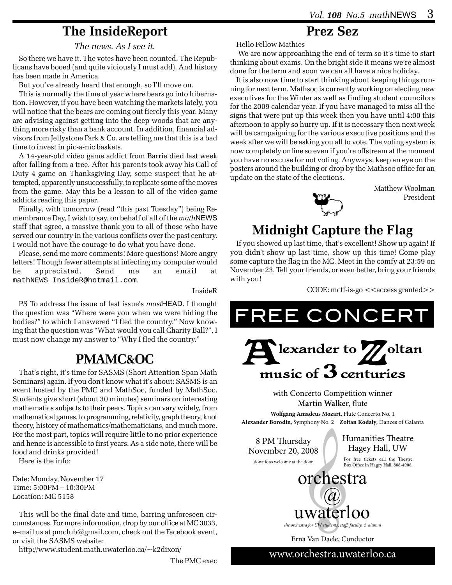## **The InsideReport**

*The news. As I see it.*

So there we have it. The votes have been counted. The Republicans have booed (and quite viciously I must add). And history has been made in America.

But you've already heard that enough, so I'll move on.

This is normally the time of year where bears go into hibernation. However, if you have been watching the markets lately, you will notice that the bears are coming out fiercly this year. Many are advising against getting into the deep woods that are anything more risky than a bank account. In addition, financial advisors from Jellystone Park & Co. are telling me that this is a bad time to invest in pic-a-nic baskets.

A 14-year-old video game addict from Barrie died last week after falling from a tree. After his parents took away his Call of Duty 4 game on Thanksgiving Day, some suspect that he attempted, apparently unsuccessfully, to replicate some of the moves from the game. May this be a lesson to all of the video game addicts reading this paper.

Finally, with tomorrow (read "this past Tuesday") being Remembrance Day, I wish to say, on behalf of all of the *math*NEWS staff that agree, a massive thank you to all of those who have served our country in the various conflicts over the past century. I would not have the courage to do what you have done.

Please, send me more comments! More questions! More angry letters! Though fewer attempts at infecting my computer would be appreciated. Send me an email at mathNEWS\_InsideR@hotmail.com.

InsideR

PS To address the issue of last issue's *mast*HEAD. I thought the question was "Where were you when we were hiding the bodies?" to which I answered "I fled the country." Now knowing that the question was "What would you call Charity Ball?", I must now change my answer to "Why I fled the country."

## **PMAMC&OC**

That's right, it's time for SASMS (Short Attention Span Math Seminars) again. If you don't know what it's about: SASMS is an event hosted by the PMC and MathSoc, funded by MathSoc. Students give short (about 30 minutes) seminars on interesting mathematics subjects to their peers. Topics can vary widely, from mathematical games, to programming, relativity, graph theory, knot theory, history of mathematics/mathematicians, and much more. For the most part, topics will require little to no prior experience and hence is accessible to first years. As a side note, there will be food and drinks provided!

Here is the info:

Date: Monday, November 17 Time: 5:00PM – 10:30PM Location: MC 5158

This will be the final date and time, barring unforeseen circumstances. For more information, drop by our office at MC 3033, e–mail us at pmclub@gmail.com, check out the Facebook event, or visit the SASMS website:

http://www.student.math.uwaterloo.ca/~k2dixon/

The PMC exec

## **Prez Sez**

Hello Fellow Mathies

 We are now approaching the end of term so it's time to start thinking about exams. On the bright side it means we're almost done for the term and soon we can all have a nice holiday.

It is also now time to start thinking about keeping things running for next term. Mathsoc is currently working on electing new executives for the Winter as well as finding student councilors for the 2009 calendar year. If you have managed to miss all the signs that were put up this week then you have until 4:00 this afternoon to apply so hurry up. If it is necessary then next week will be campaigning for the various executive positions and the week after we will be asking you all to vote. The voting system is now completely online so even if you're offstream at the moment you have no excuse for not voting. Anyways, keep an eye on the posters around the building or drop by the Mathsoc office for an update on the state of the elections.

> Matthew Woolman President



## **Midnight Capture the Flag**

If you showed up last time, that's excellent! Show up again! If you didn't show up last time, show up this time! Come play some capture the flag in the MC. Meet in the comfy at 23:59 on November 23. Tell your friends, or even better, bring your friends with you!

 $CODE: metf-is-go < access granted > >$ 



www.orchestra.uwaterloo.ca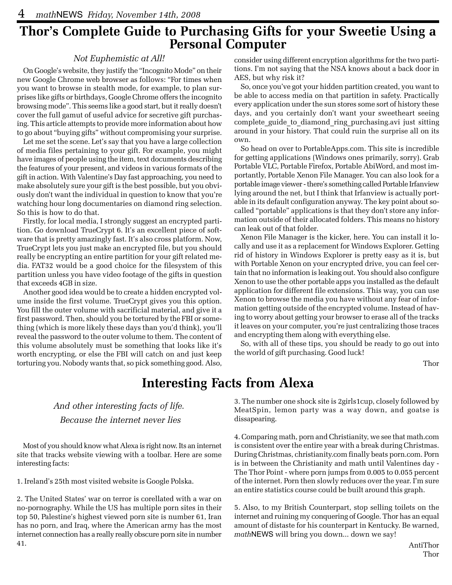# **Thor's Complete Guide to Purchasing Gifts for your Sweetie Using a Personal Computer**

### *Not Euphemistic at All!*

On Google's website, they justify the "Incognito Mode" on their new Google Chrome web browser as follows: "For times when you want to browse in stealth mode, for example, to plan surprises like gifts or birthdays, Google Chrome offers the incognito browsing mode". This seems like a good start, but it really doesn't cover the full gamut of useful advice for secretive gift purchasing. This article attempts to provide more information about how to go about "buying gifts" without compromising your surprise.

Let me set the scene. Let's say that you have a large collection of media files pertaining to your gift. For example, you might have images of people using the item, text documents describing the features of your present, and videos in various formats of the gift in action. With Valentine's Day fast approaching, you need to make absolutely sure your gift is the best possible, but you obviously don't want the individual in question to know that you're watching hour long documentaries on diamond ring selection. So this is how to do that.

Firstly, for local media, I strongly suggest an encrypted partition. Go download TrueCrypt 6. It's an excellent piece of software that is pretty amazingly fast. It's also cross platform. Now, TrueCrypt lets you just make an encrypted file, but you should really be encrypting an entire partition for your gift related media. FAT32 would be a good choice for the filesystem of this partition unless you have video footage of the gifts in question that exceeds 4GB in size.

Another good idea would be to create a hidden encrypted volume inside the first volume. TrueCrypt gives you this option. You fill the outer volume with sacrificial material, and give it a first password. Then, should you be tortured by the FBI or something (which is more likely these days than you'd think), you'll reveal the password to the outer volume to them. The content of this volume absolutely must be something that looks like it's worth encrypting, or else the FBI will catch on and just keep torturing you. Nobody wants that, so pick something good. Also,

consider using different encryption algorithms for the two partitions. I'm not saying that the NSA knows about a back door in AES, but why risk it?

So, once you've got your hidden partition created, you want to be able to access media on that partition in safety. Practically every application under the sun stores some sort of history these days, and you certainly don't want your sweetheart seeing complete guide to diamond ring purchasing.avi just sitting around in your history. That could ruin the surprise all on its own.

So head on over to PortableApps.com. This site is incredible for getting applications (Windows ones primarily, sorry). Grab Portable VLC, Portable Firefox, Portable AbiWord, and most importantly, Portable Xenon File Manager. You can also look for a portable image viewer - there's something called Portable Irfanview lying around the net, but I think that Irfanview is actually portable in its default configuration anyway. The key point about socalled "portable" applications is that they don't store any information outside of their allocated folders. This means no history can leak out of that folder.

Xenon File Manager is the kicker, here. You can install it locally and use it as a replacement for Windows Explorer. Getting rid of history in Windows Explorer is pretty easy as it is, but with Portable Xenon on your encrypted drive, you can feel certain that no information is leaking out. You should also configure Xenon to use the other portable apps you installed as the default application for different file extensions. This way, you can use Xenon to browse the media you have without any fear of information getting outside of the encrypted volume. Instead of having to worry about getting your browser to erase all of the tracks it leaves on your computer, you're just centralizing those traces and encrypting them along with everything else.

So, with all of these tips, you should be ready to go out into the world of gift purchasing. Good luck!

Thor

## **Interesting Facts from Alexa**

### *And other interesting facts of life. Because the internet never lies*

Most of you should know what Alexa is right now. Its an internet site that tracks website viewing with a toolbar. Here are some interesting facts:

1. Ireland's 25th most visited website is Google Polska.

2. The United States' war on terror is corellated with a war on no-pornography. While the US has multiple porn sites in their top 50, Palestine's highest viewed porn site is number 61, Iran has no porn, and Iraq, where the American army has the most internet connection has a really really obscure porn site in number 41.

3. The number one shock site is 2girls1cup, closely followed by MeatSpin, lemon party was a way down, and goatse is dissapearing.

4. Comparing math, porn and Christianity, we see that math.com is consistent over the entire year with a break during Christmas. During Christmas, christianity.com finally beats porn.com. Porn is in between the Christianity and math until Valentines day - The Thor Point - where porn jumps from 0.005 to 0.055 percent of the internet. Porn then slowly reduces over the year. I'm sure an entire statistics course could be built around this graph.

5. Also, to my British Counterpart, stop selling toilets on the internet and ruining my conquering of Google. Thor has an equal amount of distaste for his counterpart in Kentucky. Be warned, *math*NEWS will bring you down... down we say!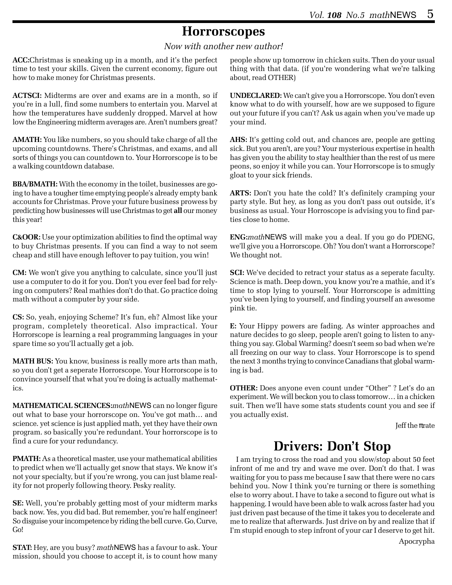## **Horrorscopes**

*Now with another new author!*

**ACC:**Christmas is sneaking up in a month, and it's the perfect time to test your skills. Given the current economy, figure out how to make money for Christmas presents.

**ACTSCI:** Midterms are over and exams are in a month, so if you're in a lull, find some numbers to entertain you. Marvel at how the temperatures have suddenly dropped. Marvel at how low the Engineering midterm averages are. Aren't numbers great?

**AMATH:** You like numbers, so you should take charge of all the upcoming countdowns. There's Christmas, and exams, and all sorts of things you can countdown to. Your Horrorscope is to be a walking countdown database.

**BBA/BMATH:** With the economy in the toilet, businesses are going to have a tougher time emptying people's already empty bank accounts for Christmas. Prove your future business prowess by predicting how businesses will use Christmas to get **all** our money this year!

**C&OOR:** Use your optimization abilities to find the optimal way to buy Christmas presents. If you can find a way to not seem cheap and still have enough leftover to pay tuition, you win!

**CM:** We won't give you anything to calculate, since you'll just use a computer to do it for you. Don't you ever feel bad for relying on computers? Real mathies don't do that. Go practice doing math without a computer by your side.

**CS:** So, yeah, enjoying Scheme? It's fun, eh? Almost like your program, completely theoretical. Also impractical. Your Horrorscope is learning a real programming languages in your spare time so you'll actually get a job.

**MATH BUS:** You know, business is really more arts than math, so you don't get a seperate Horrorscope. Your Horrorscope is to convince yourself that what you're doing is actually mathematics.

**MATHEMATICAL SCIENCES:***math*NEWS can no longer figure out what to base your horrorscope on. You've got math… and science. yet science is just applied math, yet they have their own program. so basically you're redundant. Your horrorscope is to find a cure for your redundancy.

**PMATH:** As a theoretical master, use your mathematical abilities to predict when we'll actually get snow that stays. We know it's not your specialty, but if you're wrong, you can just blame reality for not properly following theory. Pesky reality.

**SE:** Well, you're probably getting most of your midterm marks back now. Yes, you did bad. But remember, you're half engineer! So disguise your incompetence by riding the bell curve. Go, Curve, Go!

**STAT:** Hey, are you busy? *math*NEWS has a favour to ask. Your mission, should you choose to accept it, is to count how many

people show up tomorrow in chicken suits. Then do your usual thing with that data. (if you're wondering what we're talking about, read OTHER)

**UNDECLARED:** We can't give you a Horrorscope. You don't even know what to do with yourself, how are we supposed to figure out your future if you can't? Ask us again when you've made up your mind.

**AHS:** It's getting cold out, and chances are, people are getting sick. But you aren't, are you? Your mysterious expertise in health has given you the ability to stay healthier than the rest of us mere peons, so enjoy it while you can. Your Horrorscope is to smugly gloat to your sick friends.

**ARTS:** Don't you hate the cold? It's definitely cramping your party style. But hey, as long as you don't pass out outside, it's business as usual. Your Horroscope is advising you to find parties close to home.

**ENG:***math*NEWS will make you a deal. If you go do PDENG, we'll give you a Horrorscope. Oh? You don't want a Horrorscope? We thought not.

**SCI:** We've decided to retract your status as a seperate faculty. Science is math. Deep down, you know you're a mathie, and it's time to stop lying to yourself. Your Horrorscope is admitting you've been lying to yourself, and finding yourself an awesome pink tie.

**E:** Your Hippy powers are fading. As winter approaches and nature decides to go sleep, people aren't going to listen to anything you say. Global Warming? doesn't seem so bad when we're all freezing on our way to class. Your Horrorscope is to spend the next 3 months trying to convince Canadians that global warming is bad.

**OTHER:** Does anyone even count under "Other" ? Let's do an experiment. We will beckon you to class tomorrow… in a chicken suit. Then we'll have some stats students count you and see if you actually exist.

Jeff the  $\pi$ rate

## **Drivers: Don't Stop**

I am trying to cross the road and you slow/stop about 50 feet infront of me and try and wave me over. Don't do that. I was waiting for you to pass me because I saw that there were no cars behind you. Now I think you're turning or there is something else to worry about. I have to take a second to figure out what is happening. I would have been able to walk across faster had you just driven past because of the time it takes you to decelerate and me to realize that afterwards. Just drive on by and realize that if I'm stupid enough to step infront of your car I deserve to get hit.

Apocrypha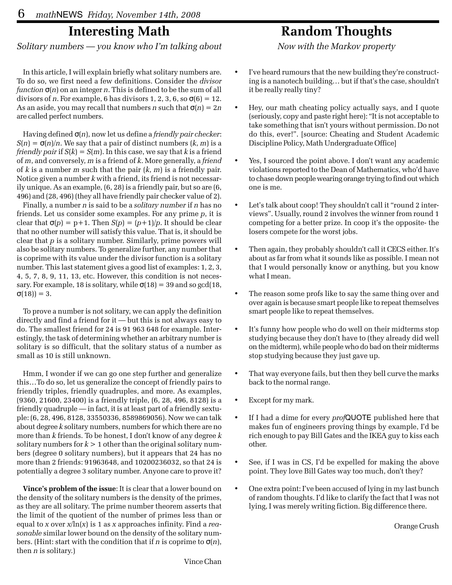## **Interesting Math**

*Solitary numbers — you know who I'm talking about*

In this article, I will explain briefly what solitary numbers are. To do so, we first need a few definitions. Consider the *divisor function* σ(*n*) on an integer *n*. This is defined to be the sum of all divisors of *n*. For example, 6 has divisors 1, 2, 3, 6, so  $\sigma(6) = 12$ . As an aside, you may recall that numbers *n* such that  $\sigma(n) = 2n$ are called perfect numbers.

Having defined σ(*n*), now let us define a *friendly pair checker*:  $S(n) = \sigma(n)/n$ . We say that a pair of distinct numbers  $(k, m)$  is a *friendly pair* if  $S(k) = S(m)$ . In this case, we say that *k* is a friend of *m*, and conversely, *m* is a friend of *k*. More generally, a *friend* of *k* is a number *m* such that the pair (*k*, *m*) is a friendly pair. Notice given a number *k* with a friend, its friend is not necessarily unique. As an example, (6, 28) is a friendly pair, but so are (6, 496) and (28, 496) (they all have friendly pair checker value of 2).

Finally, a number *n* is said to be a *solitary number* if *n* has no friends. Let us consider some examples. For any prime *p*, it is clear that  $\sigma(p) = p+1$ . Then  $S(p) = (p+1)/p$ . It should be clear that no other number will satisfy this value. That is, it should be clear that *p* is a solitary number. Similarly, prime powers will also be solitary numbers. To generalize further, any number that is coprime with its value under the divisor function is a solitary number. This last statement gives a good list of examples: 1, 2, 3, 4, 5, 7, 8, 9, 11, 13, etc. However, this condition is not necessary. For example, 18 is solitary, while  $\sigma(18) = 39$  and so gcd(18,  $σ(18) = 3.$ 

To prove a number is not solitary, we can apply the definition directly and find a friend for it — but this is not always easy to do. The smallest friend for 24 is 91 963 648 for example. Interestingly, the task of determining whether an arbitrary number is solitary is so difficult, that the solitary status of a number as small as 10 is still unknown.

Hmm, I wonder if we can go one step further and generalize this…To do so, let us generalize the concept of friendly pairs to friendly triples, friendly quadruples, and more. As examples, (9360, 21600, 23400) is a friendly triple, (6, 28, 496, 8128) is a friendly quadruple — in fact, it is at least part of a friendly sextuple: (6, 28, 496, 8128, 33550336, 8589869056). Now we can talk about degree *k* solitary numbers, numbers for which there are no more than *k* friends. To be honest, I don't know of any degree *k* solitary numbers for  $k > 1$  other than the original solitary numbers (degree 0 solitary numbers), but it appears that 24 has no more than 2 friends: 91963648, and 10200236032, so that 24 is potentially a degree 3 solitary number. Anyone care to prove it?

**Vince's problem of the issue**: It is clear that a lower bound on the density of the solitary numbers is the density of the primes, as they are all solitary. The prime number theorem asserts that the limit of the quotient of the number of primes less than or equal to *x* over *x*/ln(*x*) is 1 as *x* approaches infinity. Find a *reasonable* similar lower bound on the density of the solitary numbers. (Hint: start with the condition that if *n* is coprime to σ(*n*), then *n* is solitary.)

## **Random Thoughts**

*Now with the Markov property*

- I've heard rumours that the new building they're constructing is a nanotech building… but if that's the case, shouldn't it be really really tiny?
- Hey, our math cheating policy actually says, and I quote (seriously, copy and paste right here): "It is not acceptable to take something that isn't yours without permission. Do not do this, ever!". [source: Cheating and Student Academic Discipline Policy, Math Undergraduate Office]
- Yes, I sourced the point above. I don't want any academic violations reported to the Dean of Mathematics, who'd have to chase down people wearing orange trying to find out which one is me.
- Let's talk about coop! They shouldn't call it "round 2 interviews". Usually, round 2 involves the winner from round 1 competing for a better prize. In coop it's the opposite- the losers compete for the worst jobs.
- Then again, they probably shouldn't call it CECS either. It's about as far from what it sounds like as possible. I mean not that I would personally know or anything, but you know what I mean.
- The reason some profs like to say the same thing over and over again is because smart people like to repeat themselves smart people like to repeat themselves.
- It's funny how people who do well on their midterms stop studying because they don't have to (they already did well on the midterm), while people who do bad on their midterms stop studying because they just gave up.
- That way everyone fails, but then they bell curve the marks back to the normal range.
- Except for my mark.
- If I had a dime for every *prof*QUOTE published here that makes fun of engineers proving things by example, I'd be rich enough to pay Bill Gates and the IKEA guy to kiss each other.
- See, if I was in CS, I'd be expelled for making the above point. They love Bill Gates way too much, don't they?
- One extra point: I've been accused of lying in my last bunch of random thoughts. I'd like to clarify the fact that I was not lying, I was merely writing fiction. Big difference there.

Orange Crush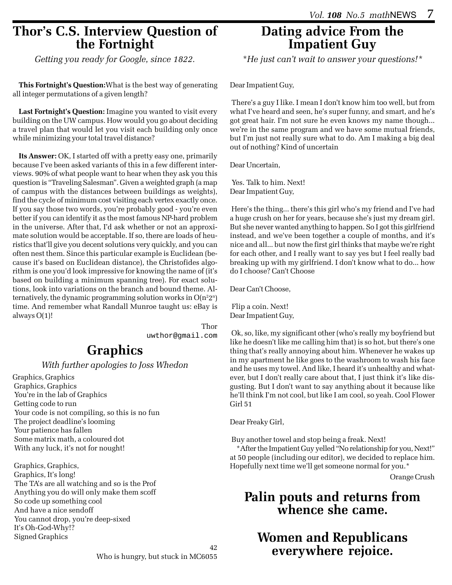### **Thor's C.S. Interview Question of the Fortnight**

*Getting you ready for Google, since 1822.*

**This Fortnight's Question:**What is the best way of generating all integer permutations of a given length?

**Last Fortnight's Question:** Imagine you wanted to visit every building on the UW campus. How would you go about deciding a travel plan that would let you visit each building only once while minimizing your total travel distance?

**Its Answer:** OK, I started off with a pretty easy one, primarily because I've been asked variants of this in a few different interviews. 90% of what people want to hear when they ask you this question is "Traveling Salesman". Given a weighted graph (a map of campus with the distances between buildings as weights), find the cycle of minimum cost visiting each vertex exactly once. If you say those two words, you're probably good - you're even better if you can identify it as the most famous NP-hard problem in the universe. After that, I'd ask whether or not an approximate solution would be acceptable. If so, there are loads of heuristics that'll give you decent solutions very quickly, and you can often nest them. Since this particular example is Euclidean (because it's based on Euclidean distance), the Christofides algorithm is one you'd look impressive for knowing the name of (it's based on building a minimum spanning tree). For exact solutions, look into variations on the branch and bound theme. Alternatively, the dynamic programming solution works in  $O(n^22^n)$ time. And remember what Randall Munroe taught us: eBay is always O(1)!

> Thor uwthor@gmail.com

## **Graphics**

*With further apologies to Joss Whedon*

Graphics, Graphics Graphics, Graphics You're in the lab of Graphics Getting code to run Your code is not compiling, so this is no fun The project deadline's looming Your patience has fallen Some matrix math, a coloured dot With any luck, it's not for nought!

 Graphics, Graphics, Graphics, It's long! The TA's are all watching and so is the Prof Anything you do will only make them scoff So code up something cool And have a nice sendoff You cannot drop, you're deep-sixed It's Oh-God-Why!? Signed Graphics

## **Dating advice From the Impatient Guy**

*\*He just can't wait to answer your questions!\**

Dear Impatient Guy,

 There's a guy I like. I mean I don't know him too well, but from what I've heard and seen, he's super funny, and smart, and he's got great hair. I'm not sure he even knows my name though... we're in the same program and we have some mutual friends, but I'm just not really sure what to do. Am I making a big deal out of nothing? Kind of uncertain

Dear Uncertain,

 Yes. Talk to him. Next! Dear Impatient Guy,

 Here's the thing... there's this girl who's my friend and I've had a huge crush on her for years, because she's just my dream girl. But she never wanted anything to happen. So I got this girlfriend instead, and we've been together a couple of months, and it's nice and all... but now the first girl thinks that maybe we're right for each other, and I really want to say yes but I feel really bad breaking up with my girlfriend. I don't know what to do... how do I choose? Can't Choose

Dear Can't Choose,

 Flip a coin. Next! Dear Impatient Guy,

 Ok, so, like, my significant other (who's really my boyfriend but like he doesn't like me calling him that) is so hot, but there's one thing that's really annoying about him. Whenever he wakes up in my apartment he like goes to the washroom to wash his face and he uses my towel. And like, I heard it's unhealthy and whatever, but I don't really care about that, I just think it's like disgusting. But I don't want to say anything about it because like he'll think I'm not cool, but like I am cool, so yeah. Cool Flower Girl 51

Dear Freaky Girl,

Buy another towel and stop being a freak. Next!

\*After the Impatient Guy yelled "No relationship for you, Next!" at 50 people (including our editor), we decided to replace him. Hopefully next time we'll get someone normal for you.\*

Orange Crush

## **Palin pouts and returns from whence she came.**

**Women and Republicans everywhere rejoice.**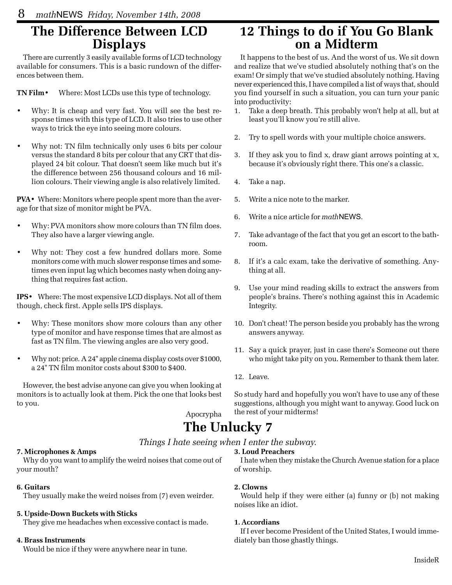## **The Difference Between LCD Displays**

There are currently 3 easily available forms of LCD technology available for consumers. This is a basic rundown of the differences between them.

**TN Film**• Where: Most LCDs use this type of technology.

- Why: It is cheap and very fast. You will see the best response times with this type of LCD. It also tries to use other ways to trick the eye into seeing more colours.
- Why not: TN film technically only uses 6 bits per colour versus the standard 8 bits per colour that any CRT that displayed 24 bit colour. That doesn't seem like much but it's the difference between 256 thousand colours and 16 million colours. Their viewing angle is also relatively limited.

**PVA**• Where: Monitors where people spent more than the average for that size of monitor might be PVA.

- Why: PVA monitors show more colours than TN film does. They also have a larger viewing angle.
- Why not: They cost a few hundred dollars more. Some monitors come with much slower response times and sometimes even input lag which becomes nasty when doing anything that requires fast action.

**IPS**• Where: The most expensive LCD displays. Not all of them though, check first. Apple sells IPS displays.

- Why: These monitors show more colours than any other type of monitor and have response times that are almost as fast as TN film. The viewing angles are also very good.
- Why not: price. A 24" apple cinema display costs over \$1000, a 24" TN film monitor costs about \$300 to \$400.

However, the best advise anyone can give you when looking at monitors is to actually look at them. Pick the one that looks best to you.

Apocrypha

## **12 Things to do if You Go Blank on a Midterm**

It happens to the best of us. And the worst of us. We sit down and realize that we've studied absolutely nothing that's on the exam! Or simply that we've studied absolutely nothing. Having never experienced this, I have compiled a list of ways that, should you find yourself in such a situation, you can turn your panic into productivity:

- 1. Take a deep breath. This probably won't help at all, but at least you'll know you're still alive.
- 2. Try to spell words with your multiple choice answers.
- 3. If they ask you to find x, draw giant arrows pointing at x, because it's obviously right there. This one's a classic.
- 4. Take a nap.
- 5. Write a nice note to the marker.
- 6. Write a nice article for *math*NEWS.
- 7. Take advantage of the fact that you get an escort to the bathroom.
- 8. If it's a calc exam, take the derivative of something. Anything at all.
- 9. Use your mind reading skills to extract the answers from people's brains. There's nothing against this in Academic Integrity.
- 10. Don't cheat! The person beside you probably has the wrong answers anyway.
- 11. Say a quick prayer, just in case there's Someone out there who might take pity on you. Remember to thank them later.
- 12. Leave.

So study hard and hopefully you won't have to use any of these suggestions, although you might want to anyway. Good luck on the rest of your midterms!

## **The Unlucky 7**

#### *Things I hate seeing when I enter the subway.*

#### **3. Loud Preachers**

Why do you want to amplify the weird noises that come out of your mouth?

#### **6. Guitars**

They usually make the weird noises from (7) even weirder.

#### **5. Upside-Down Buckets with Sticks**

They give me headaches when excessive contact is made.

#### **4. Brass Instruments**

**7. Microphones & Amps**

Would be nice if they were anywhere near in tune.

I hate when they mistake the Church Avenue station for a place of worship.

#### **2. Clowns**

Would help if they were either (a) funny or (b) not making noises like an idiot.

#### **1. Accordians**

If I ever become President of the United States, I would immediately ban those ghastly things.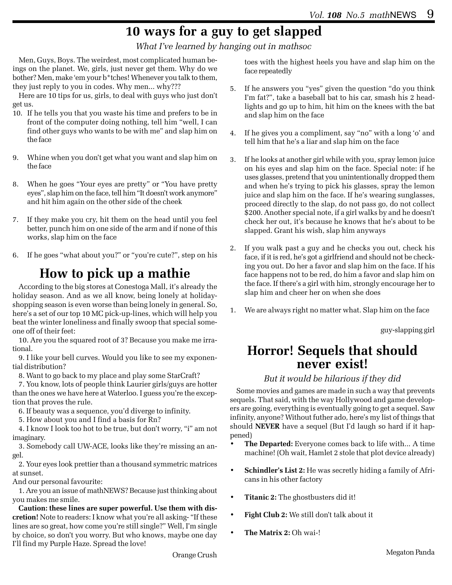## **10 ways for a guy to get slapped**

*What I've learned by hanging out in mathsoc*

Men, Guys, Boys. The weirdest, most complicated human beings on the planet. We, girls, just never get them. Why do we bother? Men, make 'em your b\*tches! Whenever you talk to them, they just reply to you in codes. Why men... why???

Here are 10 tips for us, girls, to deal with guys who just don't get us.

- 10. If he tells you that you waste his time and prefers to be in front of the computer doing nothing, tell him "well, I can find other guys who wants to be with me" and slap him on the face
- 9. Whine when you don't get what you want and slap him on the face
- 8. When he goes "Your eyes are pretty" or "You have pretty eyes", slap him on the face, tell him "It doesn't work anymore" and hit him again on the other side of the cheek
- 7. If they make you cry, hit them on the head until you feel better, punch him on one side of the arm and if none of this works, slap him on the face
- 6. If he goes "what about you?" or "you're cute?", step on his

## **How to pick up a mathie**

According to the big stores at Conestoga Mall, it's already the holiday season. And as we all know, being lonely at holidayshopping season is even worse than being lonely in general. So, here's a set of our top 10 MC pick-up-lines, which will help you beat the winter loneliness and finally swoop that special someone off of their feet:

10. Are you the squared root of 3? Because you make me irrational.

9. I like your bell curves. Would you like to see my exponential distribution?

8. Want to go back to my place and play some StarCraft?

7. You know, lots of people think Laurier girls/guys are hotter than the ones we have here at Waterloo. I guess you're the exception that proves the rule.

- 6. If beauty was a sequence, you'd diverge to infinity.
- 5. How about you and I find a basis for Rn?

4. I know I look too hot to be true, but don't worry, "i" am not imaginary.

3. Somebody call UW-ACE, looks like they're missing an angel.

2. Your eyes look prettier than a thousand symmetric matrices at sunset.

And our personal favourite:

1. Are you an issue of mathNEWS? Because just thinking about you makes me smile.

**Caution: these lines are super powerful. Use them with discretion!** Note to readers: I know what you're all asking- "If these lines are so great, how come you're still single?" Well, I'm single by choice, so don't you worry. But who knows, maybe one day I'll find my Purple Haze. Spread the love!

toes with the highest heels you have and slap him on the face repeatedly

- 5. If he answers you "yes" given the question "do you think I'm fat?", take a baseball bat to his car, smash his 2 headlights and go up to him, hit him on the knees with the bat and slap him on the face
- 4. If he gives you a compliment, say "no" with a long 'o' and tell him that he's a liar and slap him on the face
- 3. If he looks at another girl while with you, spray lemon juice on his eyes and slap him on the face. Special note: if he uses glasses, pretend that you unintentionally dropped them and when he's trying to pick his glasses, spray the lemon juice and slap him on the face. If he's wearing sunglasses, proceed directly to the slap, do not pass go, do not collect \$200. Another special note, if a girl walks by and he doesn't check her out, it's because he knows that he's about to be slapped. Grant his wish, slap him anyways
- 2. If you walk past a guy and he checks you out, check his face, if it is red, he's got a girlfriend and should not be checking you out. Do her a favor and slap him on the face. If his face happens not to be red, do him a favor and slap him on the face. If there's a girl with him, strongly encourage her to slap him and cheer her on when she does
- 1. We are always right no matter what. Slap him on the face

guy-slapping girl

## **Horror! Sequels that should never exist!**

#### *But it would be hilarious if they did*

Some movies and games are made in such a way that prevents sequels. That said, with the way Hollywood and game developers are going, everything is eventually going to get a sequel. Saw infinity, anyone? Without futher ado, here's my list of things that should **NEVER** have a sequel (But I'd laugh so hard if it happened)

- **The Departed:** Everyone comes back to life with... A time machine! (Oh wait, Hamlet 2 stole that plot device already)
- **Schindler's List 2:** He was secretly hiding a family of Africans in his other factory
- **Titanic 2:** The ghostbusters did it!
- **Fight Club 2:** We still don't talk about it
- **The Matrix 2:** Oh wai-!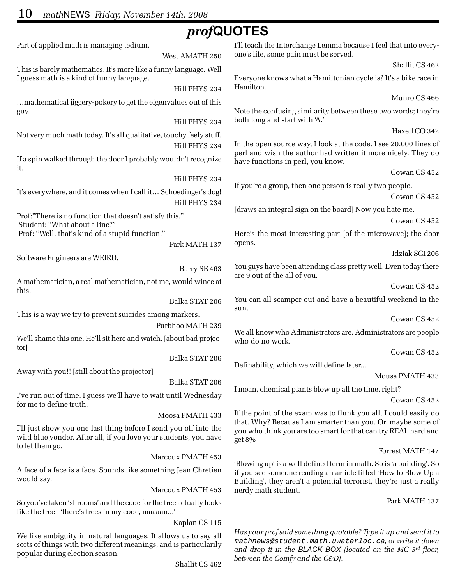## *prof***QUOTES**

West AMATH 250

Hill PHYS 234

Hill PHYS 234

Part of applied math is managing tedium.

This is barely mathematics. It's more like a funny language. Well I guess math is a kind of funny language.

…mathematical jiggery-pokery to get the eigenvalues out of this guy.

Not very much math today. It's all qualitative, touchy feely stuff. Hill PHYS 234

If a spin walked through the door I probably wouldn't recognize it.

Hill PHYS 234 It's everywhere, and it comes when I call it… Schoedinger's dog!

Hill PHYS 234 Prof:"There is no function that doesn't satisfy this." Student: "What about a line?"

Prof: "Well, that's kind of a stupid function."

Park MATH 137

Software Engineers are WEIRD.

Barry SE 463

A mathematician, a real mathematician, not me, would wince at this.

Balka STAT 206

This is a way we try to prevent suicides among markers.

#### Purbhoo MATH 239

We'll shame this one. He'll sit here and watch. [about bad projector]

Balka STAT 206

Away with you!! [still about the projector]

Balka STAT 206

I've run out of time. I guess we'll have to wait until Wednesday for me to define truth.

Moosa PMATH 433

I'll just show you one last thing before I send you off into the wild blue yonder. After all, if you love your students, you have to let them go.

Marcoux PMATH 453

A face of a face is a face. Sounds like something Jean Chretien would say.

Marcoux PMATH 453

So you've taken 'shrooms' and the code for the tree actually looks like the tree - 'there's trees in my code, maaaan...'

Kaplan CS 115

We like ambiguity in natural languages. It allows us to say all sorts of things with two different meanings, and is particularily popular during election season.

Shallit CS 462

I'll teach the Interchange Lemma because I feel that into everyone's life, some pain must be served.

Shallit CS 462

Everyone knows what a Hamiltonian cycle is? It's a bike race in Hamilton.

Munro CS 466

Note the confusing similarity between these two words; they're both long and start with 'A.'

Haxell CO 342

In the open source way, I look at the code. I see 20,000 lines of perl and wish the author had written it more nicely. They do have functions in perl, you know.

Cowan CS 452

If you're a group, then one person is really two people.

Cowan CS 452

[draws an integral sign on the board] Now you hate me.

Cowan CS 452

Here's the most interesting part [of the microwave]; the door opens.

Idziak SCI 206

You guys have been attending class pretty well. Even today there are 9 out of the all of you.

Cowan CS 452

You can all scamper out and have a beautiful weekend in the sun.

Cowan CS 452

We all know who Administrators are. Administrators are people who do no work.

Cowan CS 452

Definability, which we will define later...

Mousa PMATH 433

I mean, chemical plants blow up all the time, right?

Cowan CS 452

If the point of the exam was to flunk you all, I could easily do that. Why? Because I am smarter than you. Or, maybe some of you who think you are too smart for that can try REAL hard and get 8%

Forrest MATH 147

'Blowing up' is a well defined term in math. So is 'a building'. So if you see someone reading an article titled 'How to Blow Up a Building', they aren't a potential terrorist, they're just a really nerdy math student.

#### Park MATH 137

*Has your prof said something quotable? Type it up and send it to* mathnews@student.math.uwaterloo.ca*, or write it down and drop it in the BLACK BOX (located on the MC 3rd floor, between the Comfy and the C&D).*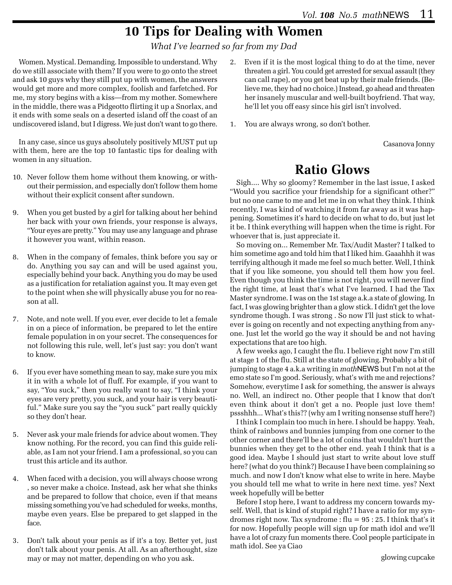## **10 Tips for Dealing with Women**

*What I've learned so far from my Dad*

Women. Mystical. Demanding. Impossible to understand. Why do we still associate with them? If you were to go onto the street and ask 10 guys why they still put up with women, the answers would get more and more complex, foolish and farfetched. For me, my story begins with a kiss—from my mother. Somewhere in the middle, there was a Pidgeotto flirting it up a Snorlax, and it ends with some seals on a deserted island off the coast of an undiscovered island, but I digress. We just don't want to go there.

In any case, since us guys absolutely positively MUST put up with them, here are the top 10 fantastic tips for dealing with women in any situation.

- 10. Never follow them home without them knowing, or without their permission, and especially don't follow them home without their explicit consent after sundown.
- 9. When you get busted by a girl for talking about her behind her back with your own friends, your response is always, "Your eyes are pretty." You may use any language and phrase it however you want, within reason.
- 8. When in the company of females, think before you say or do. Anything you say can and will be used against you, especially behind your back. Anything you do may be used as a justification for retaliation against you. It may even get to the point when she will physically abuse you for no reason at all.
- 7. Note, and note well. If you ever, ever decide to let a female in on a piece of information, be prepared to let the entire female population in on your secret. The consequences for not following this rule, well, let's just say: you don't want to know.
- 6. If you ever have something mean to say, make sure you mix it in with a whole lot of fluff. For example, if you want to say, "You suck," then you really want to say, "I think your eyes are very pretty, you suck, and your hair is very beautiful." Make sure you say the "you suck" part really quickly so they don't hear.
- 5. Never ask your male friends for advice about women. They know nothing. For the record, you can find this guide reliable, as I am not your friend. I am a professional, so you can trust this article and its author.
- 4. When faced with a decision, you will always choose wrong , so never make a choice. Instead, ask her what she thinks and be prepared to follow that choice, even if that means missing something you've had scheduled for weeks, months, maybe even years. Else be prepared to get slapped in the face.
- 3. Don't talk about your penis as if it's a toy. Better yet, just don't talk about your penis. At all. As an afterthought, size may or may not matter, depending on who you ask.
- 2. Even if it is the most logical thing to do at the time, never threaten a girl. You could get arrested for sexual assault (they can call rape), or you get beat up by their male friends. (Believe me, they had no choice.) Instead, go ahead and threaten her insanely muscular and well-built boyfriend. That way, he'll let you off easy since his girl isn't involved.
- 1. You are always wrong, so don't bother.

Casanova Jonny

## **Ratio Glows**

Sigh.... Why so gloomy? Remember in the last issue, I asked "Would you sacrifice your friendship for a significant other?" but no one came to me and let me in on what they think. I think recently, I was kind of watching it from far away as it was happening. Sometimes it's hard to decide on what to do, but just let it be. I think everything will happen when the time is right. For whoever that is, just appreciate it.

So moving on... Remember Mr. Tax/Audit Master? I talked to him sometime ago and told him that I liked him. Gaaahhh it was terrifying although it made me feel so much better. Well, I think that if you like someone, you should tell them how you feel. Even though you think the time is not right, you will never find the right time, at least that's what I've learned. I had the Tax Master syndrome. I was on the 1st stage a.k.a state of glowing. In fact, I was glowing brighter than a glow stick. I didn't get the love syndrome though. I was strong . So now I'll just stick to whatever is going on recently and not expecting anything from anyone. Just let the world go the way it should be and not having expectations that are too high.

A few weeks ago, I caught the flu. I believe right now I'm still at stage 1 of the flu. Still at the state of glowing. Probably a bit of jumping to stage 4 a.k.a writing in *math*NEWS but I'm not at the emo state so I'm good. Seriously, what's with me and rejections? Somehow, everytime I ask for something, the answer is always no. Well, an indirect no. Other people that I know that don't even think about it don't get a no. People just love them! pssshhh... What's this?? (why am I writing nonsense stuff here?)

I think I complain too much in here. I should be happy. Yeah, think of rainbows and bunnies jumping from one corner to the other corner and there'll be a lot of coins that wouldn't hurt the bunnies when they get to the other end. yeah I think that is a good idea. Maybe I should just start to write about love stuff here? (what do you think?) Because I have been complaining so much. and now I don't know what else to write in here. Maybe you should tell me what to write in here next time. yes? Next week hopefully will be better

Before I stop here, I want to address my concern towards myself. Well, that is kind of stupid right? I have a ratio for my syndromes right now. Tax syndrome :  $flu = 95 : 25$ . I think that's it for now. Hopefully people will sign up for math idol and we'll have a lot of crazy fun moments there. Cool people participate in math idol. See ya Ciao